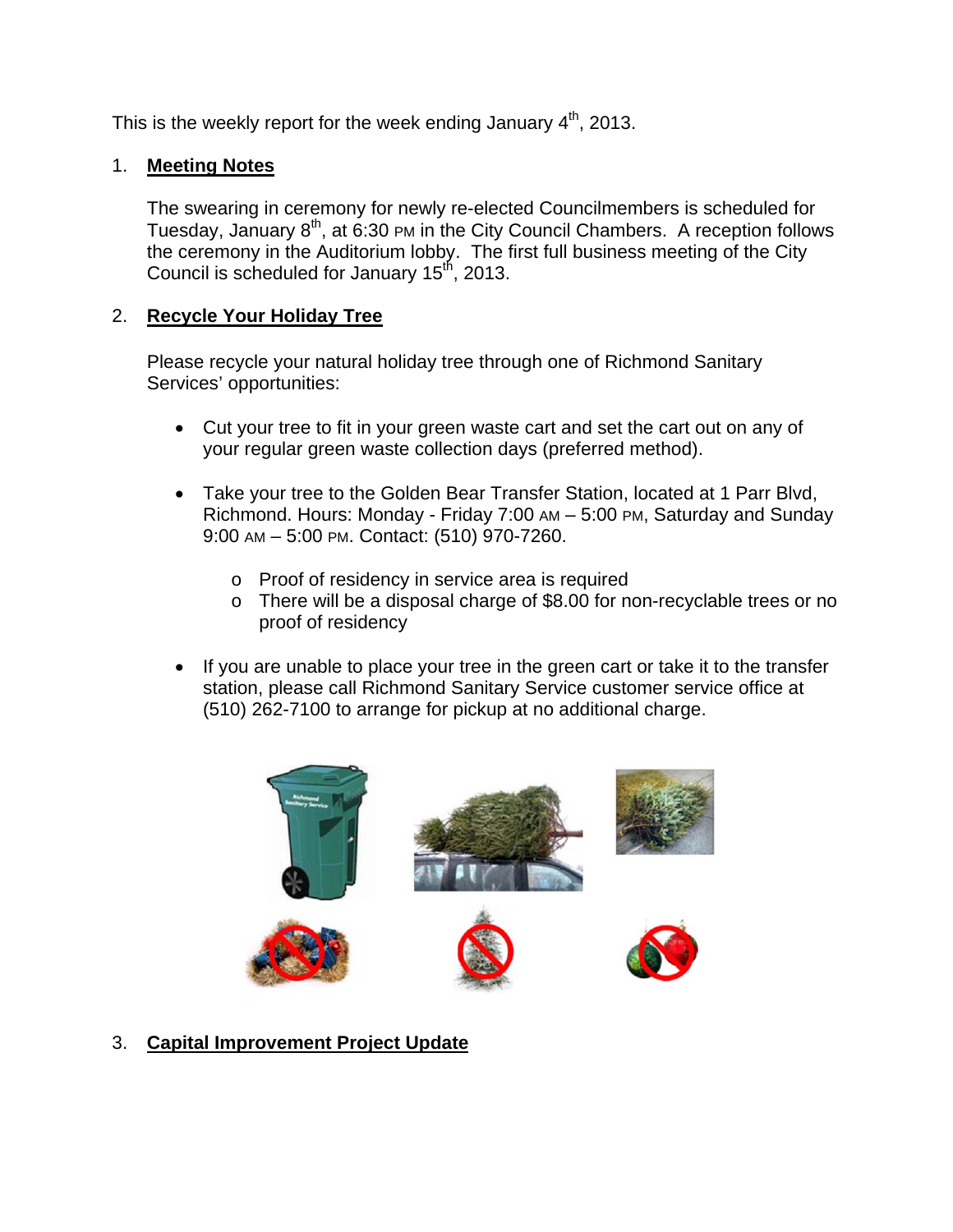This is the weekly report for the week ending January  $4<sup>th</sup>$ , 2013.

## 1. **Meeting Notes**

The swearing in ceremony for newly re-elected Councilmembers is scheduled for Tuesday, January 8<sup>th</sup>, at 6:30 PM in the City Council Chambers. A reception follows the ceremony in the Auditorium lobby. The first full business meeting of the City Council is scheduled for January 15<sup>th</sup>, 2013.

## 2. **Recycle Your Holiday Tree**

Please recycle your natural holiday tree through one of Richmond Sanitary Services' opportunities:

- Cut your tree to fit in your green waste cart and set the cart out on any of your regular green waste collection days (preferred method).
- Take your tree to the Golden Bear Transfer Station, located at 1 Parr Blvd, Richmond. Hours: Monday - Friday 7:00 AM – 5:00 PM, Saturday and Sunday 9:00 AM – 5:00 PM. Contact: (510) 970-7260.
	- o Proof of residency in service area is required
	- o There will be a disposal charge of \$8.00 for non-recyclable trees or no proof of residency
- If you are unable to place your tree in the green cart or take it to the transfer station, please call Richmond Sanitary Service customer service office at (510) 262-7100 to arrange for pickup at no additional charge.



3. **Capital Improvement Project Update**